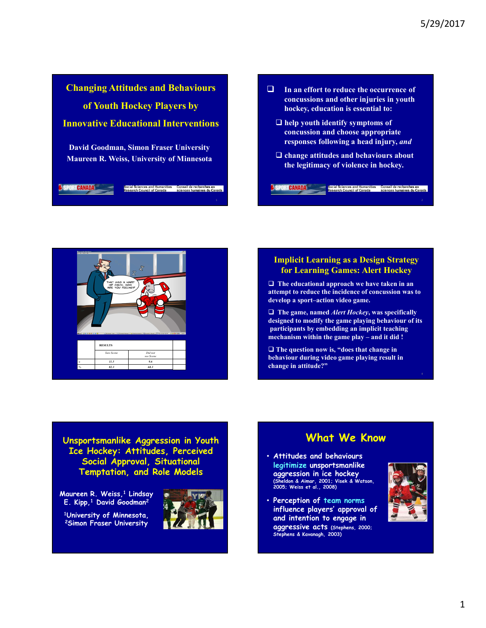

 $\Box$  In an effort to reduce the occurrence of<br>concussions and other injuries in youth<br>hockey, education is essential to:<br> $\Box$  help youth identify symptoms of<br>concussion and choose appropriate<br>responses following a head in concussions and other injuries in youth hockey, education is essential to:  $\Box$  help youth identify symptoms of 5/29/2017<br>In an effort to reduce the occurrence of<br>concussions and other injuries in youth<br>hockey, education is essential to:<br>help youth identify symptoms of<br>concussion and choose appropriate<br>responses following a head inj responses following a head injury, and  $\Box$  change attitudes and behaviours about the legitimacy of violence in hockey. In an effort to reduce the occurrence of<br>
concussions and other injuries in youth<br>
hockey, education is essential to:<br>  $\square$  help youth identify symptoms of<br>
concussion and choose appropriate<br>
responses following a head in In an effort to reduce the occurrence of<br>
concussions and other injuries in youth<br>
hockey, education is essential to:<br>
leap youth identify symptoms of<br>
concussion and choose appropriate<br>
responses following a head injury, concussions and other injuries in youth<br>
hockey, education is essential to:<br>  $\Box$  help youth identify symptoms of<br>
concussion and choose appropriate<br>
responses following a head injury, and<br>  $\Box$  change attitudes and behav concussion and choose appropriate<br>
responses following a head injury, and<br>  $\square$  change attitudes and behaviours about<br>
the legitimacy of violence in hockey.<br>
Seron canano<br>  $\square$ <br>
The ducational approach we have taken in an



 $\Box$  The educational approach we have taken in an attempt to reduce the incidence of concussion was to

 $\Box$  The game, named *Alert Hockey*, was specifically designed to modify the game playing behaviour of its participants by embedding an implicit teaching

 $\Box$  The question now is, "does that change in behaviour during video game playing result in change in attitude?"

Unsportsmanlike Aggression in Youth Ice Hockey: Attitudes, Perceived Social Approval, Situational Temptation, and Role Models

Maureen R. Weiss,<sup>1</sup> Lindsay **& Company of Lindsay Report Company of Lindsay** E. Kipp,<sup>1</sup> David Goodman<sup>2</sup>

<sup>1</sup>University of Minnesota,<br>2Simon Fraser University



#### What We Know

- Attitudes and behaviours legitimize unsportsmanlike aggression in ice hockey (Sheldon & Aimar, 2001; Visek & Watson, 2005; Weiss et al., 2008)
- Perception of team norms influence players' approval of and intention to engage in aggressive acts (Stephens, 2000; Stephens & Kavanagh, 2003)

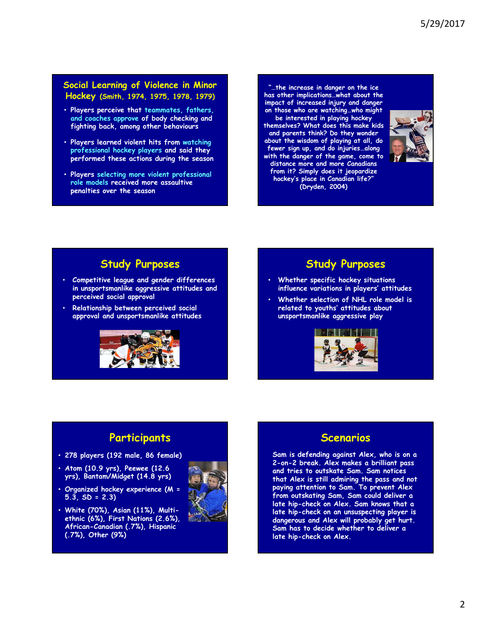#### Social Learning of Violence in Minor Hockey (Smith, 1974, 1975, 1978, 1979)

- Players perceive that teammates, fathers, and coaches approve of body checking and fighting back, among other behaviours
- Players learned violent hits from watching professional hockey players and said they performed these actions during the season
- Players selecting more violent professional role models received more assaultive penalties over the season

"…the increase in danger on the ice has other implications…what about the impact of increased injury and danger on those who are watching…who might be interested in playing hockey themselves? What does this make kids and parents think? Do they wonder about the wisdom of playing at all, do fewer sign up, and do injuries…along with the danger of the game, come to distance more and more Canadians from it? Simply does it jeopardize hockey's place in Canadian life?" (Dryden, 2004)



#### Study Purposes

- Competitive league and gender differences in unsportsmanlike aggressive attitudes and perceived social approval
- Relationship between perceived social approval and unsportsmanlike attitudes



#### Study Purposes

- Whether specific hockey situations influence variations in players' attitudes
- Whether selection of NHL role model is related to youths' attitudes about unsportsmanlike aggressive play



#### **Participants**

- 278 players (192 male, 86 female)
- Atom (10.9 yrs), Peewee (12.6 yrs), Bantam/Midget (14.8 yrs)
- Organized hockey experience (M =  $5.\overline{3}$ ,  $SD = 2.3$
- White (70%), Asian (11%), Multiethnic (6%), First Nations (2.6%), African-Canadian (.7%), Hispanic (.7%), Other (9%)



#### Scenarios

Sam is defending against Alex, who is on a 2-on-2 break. Alex makes a brilliant pass and tries to outskate Sam. Sam notices that Alex is still admiring the pass and not paying attention to Sam. To prevent Alex from outskating Sam, Sam could deliver a late hip-check on Alex. Sam knows that a late hip-check on an unsuspecting player is dangerous and Alex will probably get hurt. Sam has to decide whether to deliver a late hip-check on Alex.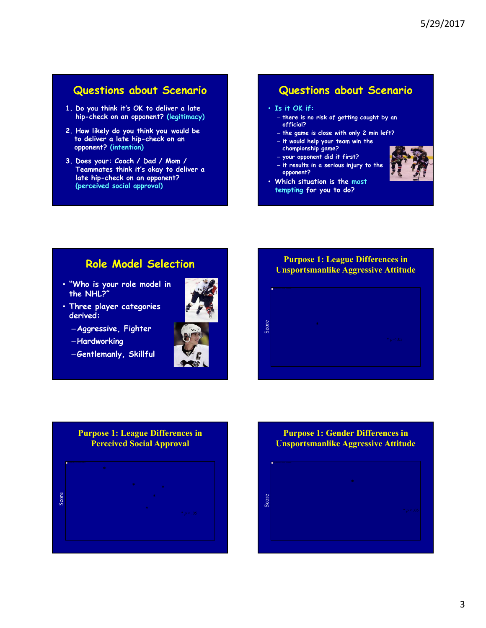#### Questions about Scenario

- hip-check on an opponent? (legitimacy)
- **Questions about Scenario**<br>
1. Do you think it's OK to deliver a late<br>
hip-check on an opponent? (legitimacy)<br>
2. How likely do you think you would be<br>
to deliver a late hip-check on an<br>
opponent? (intention)<br>
3. Does your 2. How likely do you think you would be to deliver a late hip-check on an opponent? (intention)
- 3. Does your: Coach / Dad / Mom / Teammates think it's okay to deliver a late hip-check on an opponent? (perceived social approval)

#### Questions about Scenario

#### • Is it OK if:

- there is no risk of getting caught by an official?
- the game is close with only 2 min left?
- it would help your team win the championship game?
- your opponent did it first?
- it results in a serious injury to the opponent?
- Which situation is the most tempting for you to do?

### Role Model Selection

- "Who is your role model in the NHL?"
- Three player categories derived:
	-

–Hardworking

–Gentlemanly, Skillful



# \* De la provincia de la provincia de la provincia de la provincia de la provincia de la provincia de la provincia del provincia de la provincia de la provincia de la provincia de la provincia de la provincia de la provinci  $\begin{array}{ccccc} \texttt{S} & \texttt{S} & \texttt{S} & \texttt{S} & \texttt{S} & \texttt{S} & \texttt{S} & \texttt{S} & \texttt{S} & \texttt{S} & \texttt{S} & \texttt{S} & \texttt{S} & \texttt{S} & \texttt{S} & \texttt{S} & \texttt{S} & \texttt{S} & \texttt{S} & \texttt{S} & \texttt{S} & \texttt{S} & \texttt{S} & \texttt{S} & \texttt{S} & \texttt{S} & \texttt{S} & \texttt{S} & \texttt{S} & \texttt{S} & \text$ Purpose 1: League Differences in Unsportsmanlike Aggressive Attitude

## Perceived Social Approval

\* \* \* <sup>p</sup> < .05 Score \* Purpose 1: League Differences in  $*$  . The contract of the contract of  $\mathbb{R}^n$  is the contract of  $\mathbb{R}^n$  is the contract of  $\mathbb{R}^n$  is the contract of  $\mathbb{R}^n$  is the contract of  $\mathbb{R}^n$  is the contract of  $\mathbb{R}^n$  is the contract of  $\math$ \* 1980 var den stad for the state of the state of the state of the state of the state of the state of the state of the state of the state of the state of the state of the state of the state of the state of the state of the

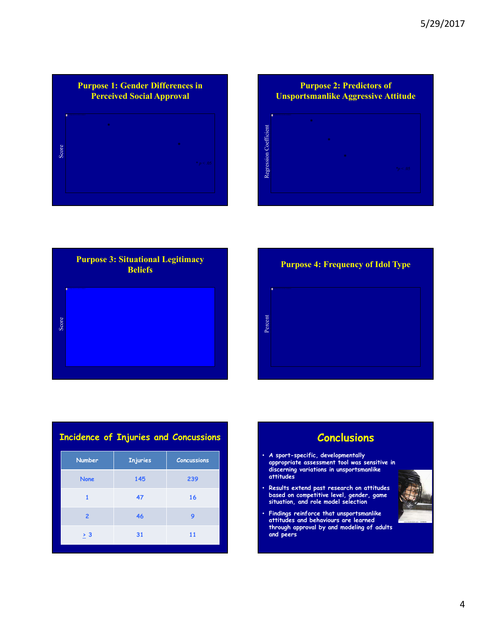







| <b>Incidence of Injuries and Concussions</b> |                 |                    | Concl                                                                                 |
|----------------------------------------------|-----------------|--------------------|---------------------------------------------------------------------------------------|
| <b>Number</b>                                | <b>Injuries</b> | <b>Concussions</b> | · A sport-specific, developi<br>appropriate assessment to                             |
| <b>None</b>                                  | 145             | 239                | discerning variations in un<br>attitudes                                              |
|                                              | 47              | 16                 | · Results extend past resed<br>based on competitive leve<br>situation, and role model |
| $\overline{2}$                               | 46              | 9                  | • Findings reinforce that un<br>attitudes and behaviours                              |
| > 3                                          | 31              | 11                 | through approval by and n<br>and peers                                                |